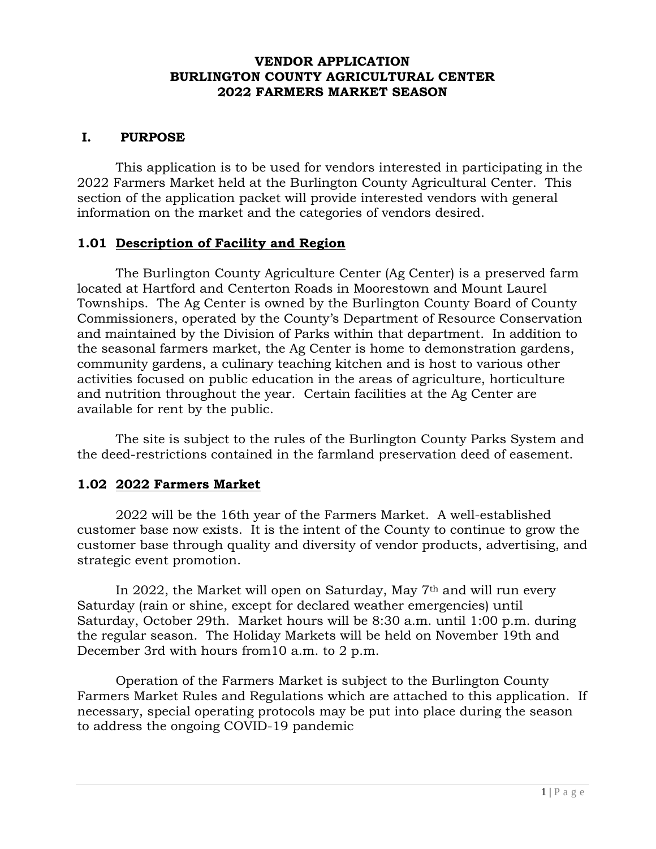# **VENDOR APPLICATION BURLINGTON COUNTY AGRICULTURAL CENTER 2022 FARMERS MARKET SEASON**

# **I. PURPOSE**

This application is to be used for vendors interested in participating in the 2022 Farmers Market held at the Burlington County Agricultural Center. This section of the application packet will provide interested vendors with general information on the market and the categories of vendors desired.

# **1.01 Description of Facility and Region**

The Burlington County Agriculture Center (Ag Center) is a preserved farm located at Hartford and Centerton Roads in Moorestown and Mount Laurel Townships. The Ag Center is owned by the Burlington County Board of County Commissioners, operated by the County's Department of Resource Conservation and maintained by the Division of Parks within that department. In addition to the seasonal farmers market, the Ag Center is home to demonstration gardens, community gardens, a culinary teaching kitchen and is host to various other activities focused on public education in the areas of agriculture, horticulture and nutrition throughout the year. Certain facilities at the Ag Center are available for rent by the public.

The site is subject to the rules of the Burlington County Parks System and the deed-restrictions contained in the farmland preservation deed of easement.

# **1.02 2022 Farmers Market**

2022 will be the 16th year of the Farmers Market. A well-established customer base now exists. It is the intent of the County to continue to grow the customer base through quality and diversity of vendor products, advertising, and strategic event promotion.

In 2022, the Market will open on Saturday, May  $7<sup>th</sup>$  and will run every Saturday (rain or shine, except for declared weather emergencies) until Saturday, October 29th. Market hours will be 8:30 a.m. until 1:00 p.m. during the regular season. The Holiday Markets will be held on November 19th and December 3rd with hours from10 a.m. to 2 p.m.

Operation of the Farmers Market is subject to the Burlington County Farmers Market Rules and Regulations which are attached to this application. If necessary, special operating protocols may be put into place during the season to address the ongoing COVID-19 pandemic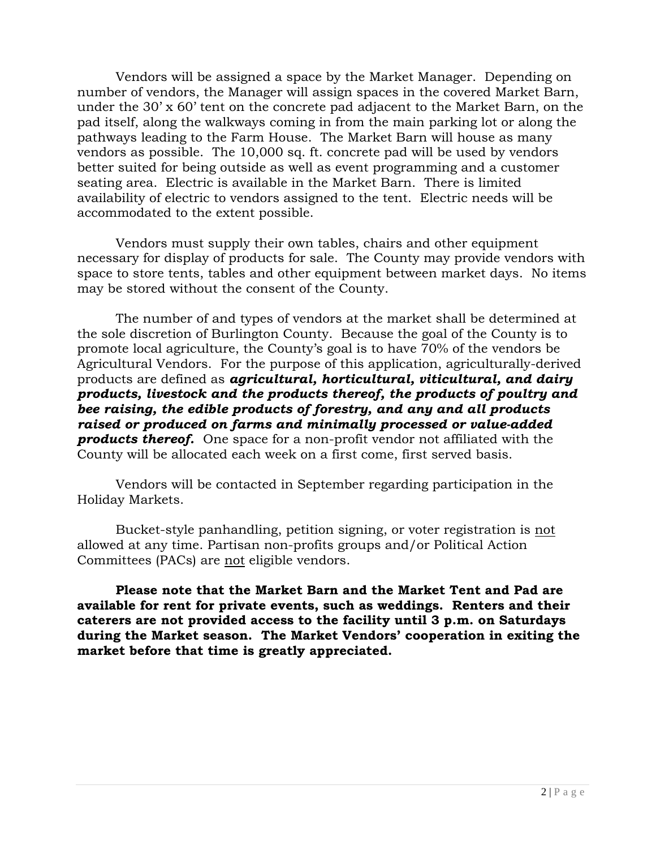Vendors will be assigned a space by the Market Manager. Depending on number of vendors, the Manager will assign spaces in the covered Market Barn, under the 30' x 60' tent on the concrete pad adjacent to the Market Barn, on the pad itself, along the walkways coming in from the main parking lot or along the pathways leading to the Farm House. The Market Barn will house as many vendors as possible. The 10,000 sq. ft. concrete pad will be used by vendors better suited for being outside as well as event programming and a customer seating area. Electric is available in the Market Barn. There is limited availability of electric to vendors assigned to the tent. Electric needs will be accommodated to the extent possible.

Vendors must supply their own tables, chairs and other equipment necessary for display of products for sale. The County may provide vendors with space to store tents, tables and other equipment between market days. No items may be stored without the consent of the County.

The number of and types of vendors at the market shall be determined at the sole discretion of Burlington County. Because the goal of the County is to promote local agriculture, the County's goal is to have 70% of the vendors be Agricultural Vendors. For the purpose of this application, agriculturally-derived products are defined as *agricultural, horticultural, viticultural, and dairy products, livestock and the products thereof, the products of poultry and bee raising, the edible products of forestry, and any and all products raised or produced on farms and minimally processed or value-added products thereof.* One space for a non-profit vendor not affiliated with the County will be allocated each week on a first come, first served basis.

Vendors will be contacted in September regarding participation in the Holiday Markets.

Bucket-style panhandling, petition signing, or voter registration is not allowed at any time. Partisan non-profits groups and/or Political Action Committees (PACs) are not eligible vendors.

**Please note that the Market Barn and the Market Tent and Pad are available for rent for private events, such as weddings. Renters and their caterers are not provided access to the facility until 3 p.m. on Saturdays during the Market season. The Market Vendors' cooperation in exiting the market before that time is greatly appreciated.**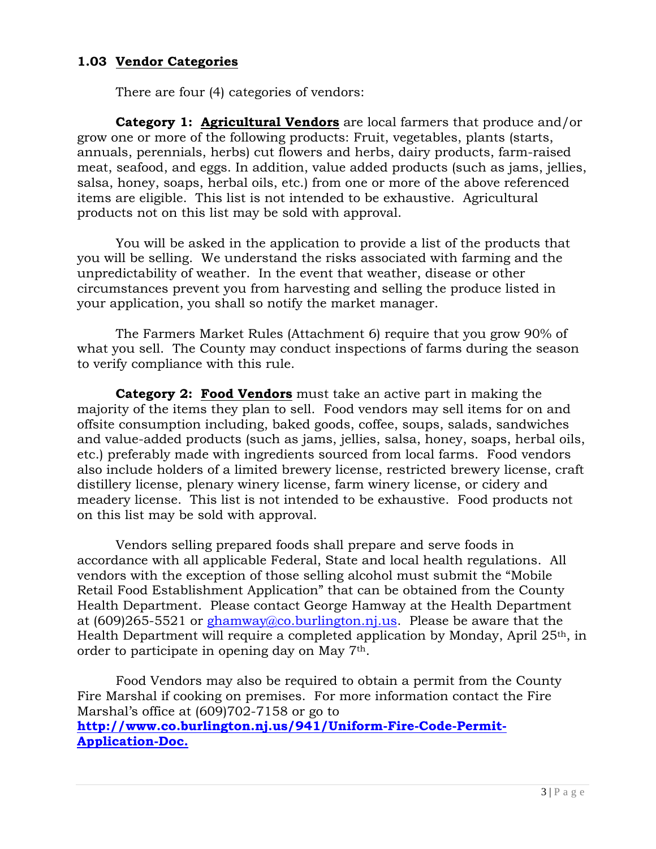# **1.03 Vendor Categories**

There are four (4) categories of vendors:

**Category 1: Agricultural Vendors** are local farmers that produce and/or grow one or more of the following products: Fruit, vegetables, plants (starts, annuals, perennials, herbs) cut flowers and herbs, dairy products, farm-raised meat, seafood, and eggs. In addition, value added products (such as jams, jellies, salsa, honey, soaps, herbal oils, etc.) from one or more of the above referenced items are eligible. This list is not intended to be exhaustive. Agricultural products not on this list may be sold with approval.

You will be asked in the application to provide a list of the products that you will be selling. We understand the risks associated with farming and the unpredictability of weather. In the event that weather, disease or other circumstances prevent you from harvesting and selling the produce listed in your application, you shall so notify the market manager.

The Farmers Market Rules (Attachment 6) require that you grow 90% of what you sell. The County may conduct inspections of farms during the season to verify compliance with this rule.

**Category 2: Food Vendors** must take an active part in making the majority of the items they plan to sell. Food vendors may sell items for on and offsite consumption including, baked goods, coffee, soups, salads, sandwiches and value-added products (such as jams, jellies, salsa, honey, soaps, herbal oils, etc.) preferably made with ingredients sourced from local farms. Food vendors also include holders of a limited brewery license, restricted brewery license, craft distillery license, plenary winery license, farm winery license, or cidery and meadery license. This list is not intended to be exhaustive. Food products not on this list may be sold with approval.

Vendors selling prepared foods shall prepare and serve foods in accordance with all applicable Federal, State and local health regulations. All vendors with the exception of those selling alcohol must submit the "Mobile Retail Food Establishment Application" that can be obtained from the County Health Department. Please contact George Hamway at the Health Department at (609)265-5521 or [ghamway@co.burlington.nj.us.](mailto:ghamway@co.burlington.nj.us) Please be aware that the Health Department will require a completed application by Monday, April 25<sup>th</sup>, in order to participate in opening day on May 7th.

Food Vendors may also be required to obtain a permit from the County Fire Marshal if cooking on premises. For more information contact the Fire Marshal's office at (609)702-7158 or go to **[http://www.co.burlington.nj.us/941/Uniform-Fire-Code-Permit-](http://www.co.burlington.nj.us/941/Uniform-Fire-Code-Permit-Application-Doc)[Application-Doc.](http://www.co.burlington.nj.us/941/Uniform-Fire-Code-Permit-Application-Doc)**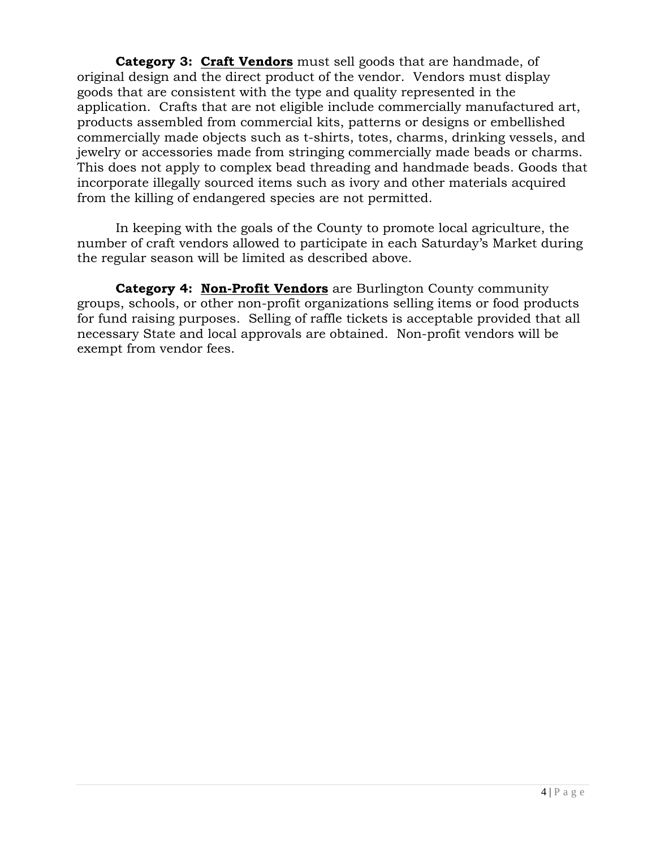**Category 3: Craft Vendors** must sell goods that are handmade, of original design and the direct product of the vendor. Vendors must display goods that are consistent with the type and quality represented in the application. Crafts that are not eligible include commercially manufactured art, products assembled from commercial kits, patterns or designs or embellished commercially made objects such as t-shirts, totes, charms, drinking vessels, and jewelry or accessories made from stringing commercially made beads or charms. This does not apply to complex bead threading and handmade beads. Goods that incorporate illegally sourced items such as ivory and other materials acquired from the killing of endangered species are not permitted.

In keeping with the goals of the County to promote local agriculture, the number of craft vendors allowed to participate in each Saturday's Market during the regular season will be limited as described above.

**Category 4: Non-Profit Vendors** are Burlington County community groups, schools, or other non-profit organizations selling items or food products for fund raising purposes. Selling of raffle tickets is acceptable provided that all necessary State and local approvals are obtained. Non-profit vendors will be exempt from vendor fees.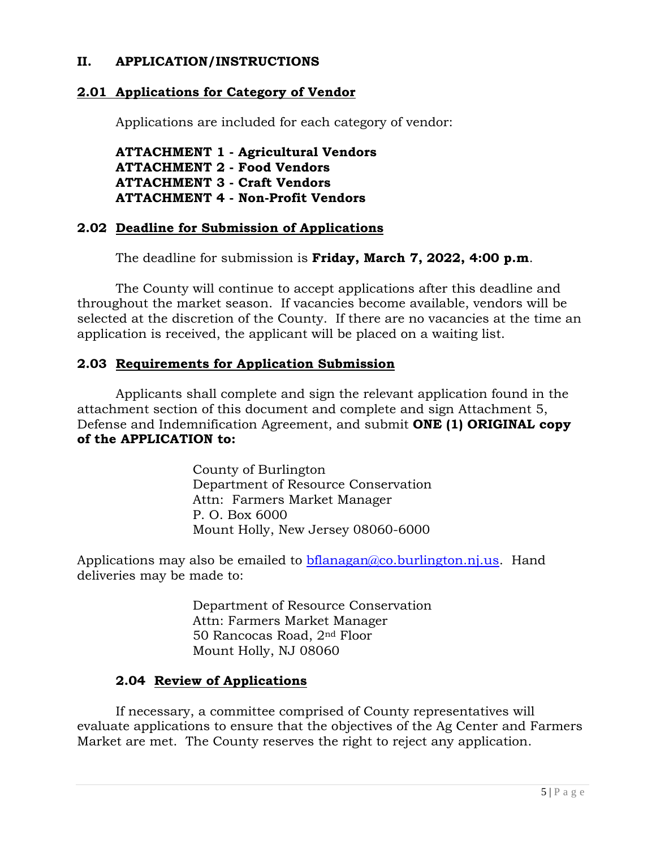# **II. APPLICATION/INSTRUCTIONS**

#### **2.01 Applications for Category of Vendor**

Applications are included for each category of vendor:

**ATTACHMENT 1 - Agricultural Vendors ATTACHMENT 2 - Food Vendors ATTACHMENT 3 - Craft Vendors ATTACHMENT 4 - Non-Profit Vendors**

#### **2.02 Deadline for Submission of Applications**

The deadline for submission is **Friday, March 7, 2022, 4:00 p.m**.

The County will continue to accept applications after this deadline and throughout the market season. If vacancies become available, vendors will be selected at the discretion of the County. If there are no vacancies at the time an application is received, the applicant will be placed on a waiting list.

#### **2.03 Requirements for Application Submission**

Applicants shall complete and sign the relevant application found in the attachment section of this document and complete and sign Attachment 5, Defense and Indemnification Agreement, and submit **ONE (1) ORIGINAL copy of the APPLICATION to:**

> County of Burlington Department of Resource Conservation Attn: Farmers Market Manager P. O. Box 6000 Mount Holly, New Jersey 08060-6000

Applications may also be emailed to [bflanagan@co.burlington.nj.us.](mailto:bflanagan@co.burlington.nj.us) Hand deliveries may be made to:

> Department of Resource Conservation Attn: Farmers Market Manager 50 Rancocas Road, 2nd Floor Mount Holly, NJ 08060

# **2.04 Review of Applications**

If necessary, a committee comprised of County representatives will evaluate applications to ensure that the objectives of the Ag Center and Farmers Market are met. The County reserves the right to reject any application.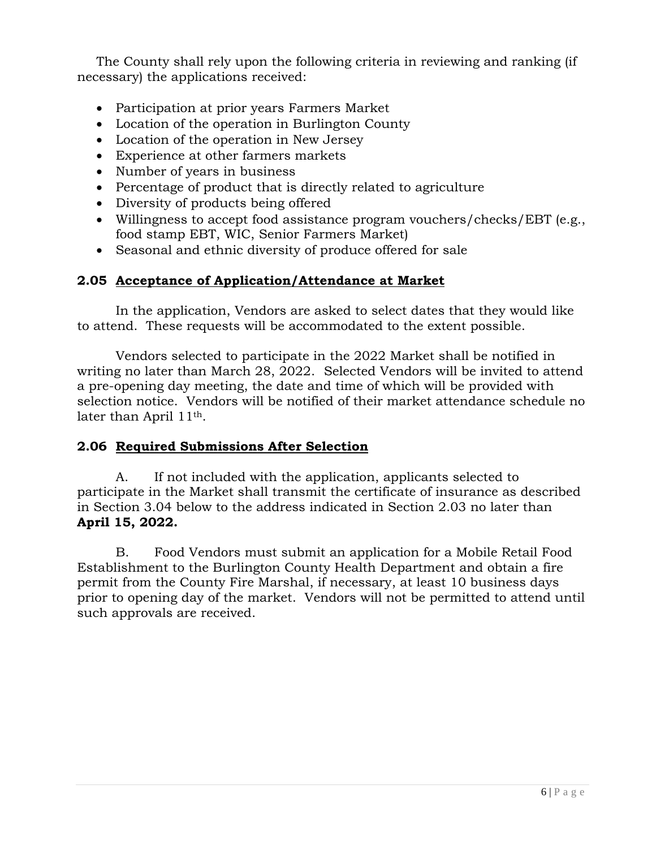The County shall rely upon the following criteria in reviewing and ranking (if necessary) the applications received:

- Participation at prior years Farmers Market
- Location of the operation in Burlington County
- Location of the operation in New Jersey
- Experience at other farmers markets
- Number of years in business
- Percentage of product that is directly related to agriculture
- Diversity of products being offered
- Willingness to accept food assistance program vouchers/checks/EBT (e.g., food stamp EBT, WIC, Senior Farmers Market)
- Seasonal and ethnic diversity of produce offered for sale

# **2.05 Acceptance of Application/Attendance at Market**

In the application, Vendors are asked to select dates that they would like to attend. These requests will be accommodated to the extent possible.

Vendors selected to participate in the 2022 Market shall be notified in writing no later than March 28, 2022. Selected Vendors will be invited to attend a pre-opening day meeting, the date and time of which will be provided with selection notice. Vendors will be notified of their market attendance schedule no later than April 11th.

# **2.06 Required Submissions After Selection**

A. If not included with the application, applicants selected to participate in the Market shall transmit the certificate of insurance as described in Section 3.04 below to the address indicated in Section 2.03 no later than **April 15, 2022.**

B. Food Vendors must submit an application for a Mobile Retail Food Establishment to the Burlington County Health Department and obtain a fire permit from the County Fire Marshal, if necessary, at least 10 business days prior to opening day of the market. Vendors will not be permitted to attend until such approvals are received.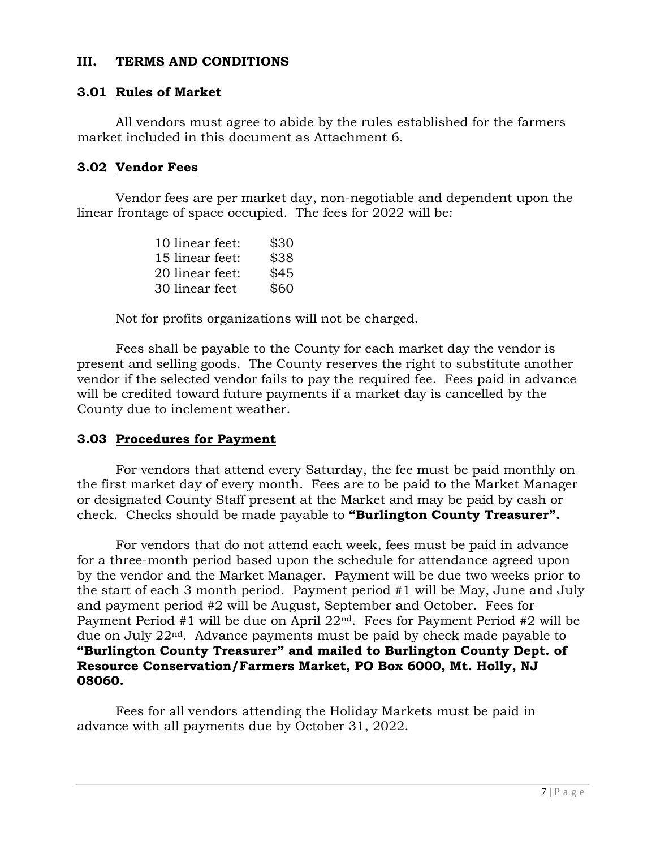#### **III. TERMS AND CONDITIONS**

#### **3.01 Rules of Market**

All vendors must agree to abide by the rules established for the farmers market included in this document as Attachment 6.

# **3.02 Vendor Fees**

Vendor fees are per market day, non-negotiable and dependent upon the linear frontage of space occupied. The fees for 2022 will be:

| 10 linear feet: | \$30 |
|-----------------|------|
| 15 linear feet: | \$38 |
| 20 linear feet: | \$45 |
| 30 linear feet  | \$60 |

Not for profits organizations will not be charged.

Fees shall be payable to the County for each market day the vendor is present and selling goods. The County reserves the right to substitute another vendor if the selected vendor fails to pay the required fee. Fees paid in advance will be credited toward future payments if a market day is cancelled by the County due to inclement weather.

# **3.03 Procedures for Payment**

For vendors that attend every Saturday, the fee must be paid monthly on the first market day of every month. Fees are to be paid to the Market Manager or designated County Staff present at the Market and may be paid by cash or check. Checks should be made payable to **"Burlington County Treasurer".**

For vendors that do not attend each week, fees must be paid in advance for a three-month period based upon the schedule for attendance agreed upon by the vendor and the Market Manager. Payment will be due two weeks prior to the start of each 3 month period. Payment period #1 will be May, June and July and payment period #2 will be August, September and October. Fees for Payment Period #1 will be due on April 22nd. Fees for Payment Period #2 will be due on July 22nd. Advance payments must be paid by check made payable to **"Burlington County Treasurer" and mailed to Burlington County Dept. of Resource Conservation/Farmers Market, PO Box 6000, Mt. Holly, NJ 08060.**

Fees for all vendors attending the Holiday Markets must be paid in advance with all payments due by October 31, 2022.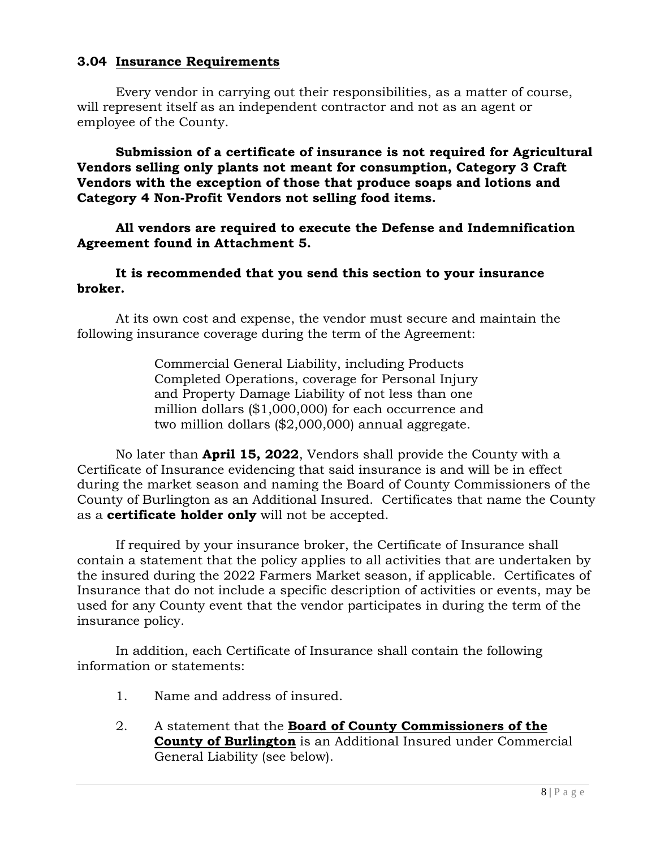# **3.04 Insurance Requirements**

Every vendor in carrying out their responsibilities, as a matter of course, will represent itself as an independent contractor and not as an agent or employee of the County.

**Submission of a certificate of insurance is not required for Agricultural Vendors selling only plants not meant for consumption, Category 3 Craft Vendors with the exception of those that produce soaps and lotions and Category 4 Non-Profit Vendors not selling food items.** 

**All vendors are required to execute the Defense and Indemnification Agreement found in Attachment 5.** 

#### **It is recommended that you send this section to your insurance broker.**

At its own cost and expense, the vendor must secure and maintain the following insurance coverage during the term of the Agreement:

> Commercial General Liability, including Products Completed Operations, coverage for Personal Injury and Property Damage Liability of not less than one million dollars (\$1,000,000) for each occurrence and two million dollars (\$2,000,000) annual aggregate.

No later than **April 15, 2022**, Vendors shall provide the County with a Certificate of Insurance evidencing that said insurance is and will be in effect during the market season and naming the Board of County Commissioners of the County of Burlington as an Additional Insured. Certificates that name the County as a **certificate holder only** will not be accepted.

If required by your insurance broker, the Certificate of Insurance shall contain a statement that the policy applies to all activities that are undertaken by the insured during the 2022 Farmers Market season, if applicable. Certificates of Insurance that do not include a specific description of activities or events, may be used for any County event that the vendor participates in during the term of the insurance policy.

In addition, each Certificate of Insurance shall contain the following information or statements:

- 1. Name and address of insured.
- 2. A statement that the **Board of County Commissioners of the County of Burlington** is an Additional Insured under Commercial General Liability (see below).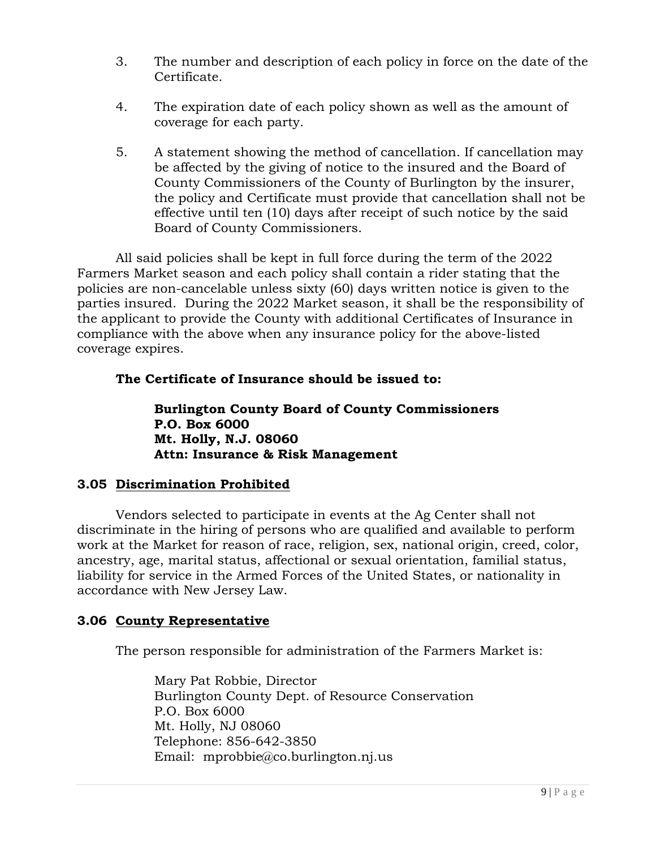- 3. The number and description of each policy in force on the date of the Certificate.
- 4. The expiration date of each policy shown as well as the amount of coverage for each party.
- 5. A statement showing the method of cancellation. If cancellation may be affected by the giving of notice to the insured and the Board of County Commissioners of the County of Burlington by the insurer, the policy and Certificate must provide that cancellation shall not be effective until ten (10) days after receipt of such notice by the said Board of County Commissioners.

All said policies shall be kept in full force during the term of the 2022 Farmers Market season and each policy shall contain a rider stating that the policies are non-cancelable unless sixty (60) days written notice is given to the parties insured. During the 2022 Market season, it shall be the responsibility of the applicant to provide the County with additional Certificates of Insurance in compliance with the above when any insurance policy for the above-listed coverage expires.

# **The Certificate of Insurance should be issued to:**

**Burlington County Board of County Commissioners P.O. Box 6000 Mt. Holly, N.J. 08060 Attn: Insurance & Risk Management**

# **3.05 Discrimination Prohibited**

Vendors selected to participate in events at the Ag Center shall not discriminate in the hiring of persons who are qualified and available to perform work at the Market for reason of race, religion, sex, national origin, creed, color, ancestry, age, marital status, affectional or sexual orientation, familial status, liability for service in the Armed Forces of the United States, or nationality in accordance with New Jersey Law.

# **3.06 County Representative**

The person responsible for administration of the Farmers Market is:

Mary Pat Robbie, Director Burlington County Dept. of Resource Conservation P.O. Box 6000 Mt. Holly, NJ 08060 Telephone: 856-642-3850 Email: mprobbie@co.burlington.nj.us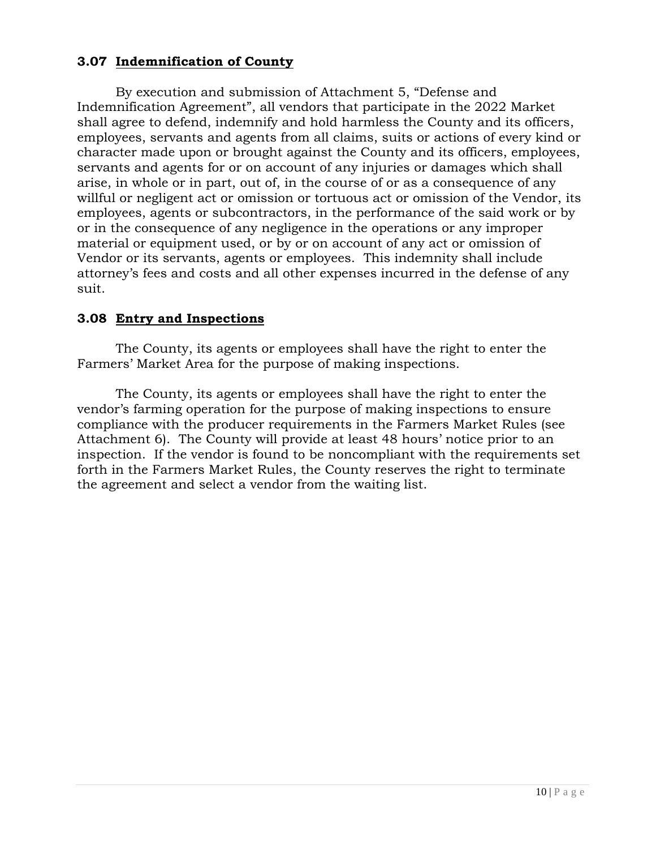# **3.07 Indemnification of County**

By execution and submission of Attachment 5, "Defense and Indemnification Agreement", all vendors that participate in the 2022 Market shall agree to defend, indemnify and hold harmless the County and its officers, employees, servants and agents from all claims, suits or actions of every kind or character made upon or brought against the County and its officers, employees, servants and agents for or on account of any injuries or damages which shall arise, in whole or in part, out of, in the course of or as a consequence of any willful or negligent act or omission or tortuous act or omission of the Vendor, its employees, agents or subcontractors, in the performance of the said work or by or in the consequence of any negligence in the operations or any improper material or equipment used, or by or on account of any act or omission of Vendor or its servants, agents or employees. This indemnity shall include attorney's fees and costs and all other expenses incurred in the defense of any suit.

# **3.08 Entry and Inspections**

The County, its agents or employees shall have the right to enter the Farmers' Market Area for the purpose of making inspections.

The County, its agents or employees shall have the right to enter the vendor's farming operation for the purpose of making inspections to ensure compliance with the producer requirements in the Farmers Market Rules (see Attachment 6). The County will provide at least 48 hours' notice prior to an inspection. If the vendor is found to be noncompliant with the requirements set forth in the Farmers Market Rules, the County reserves the right to terminate the agreement and select a vendor from the waiting list.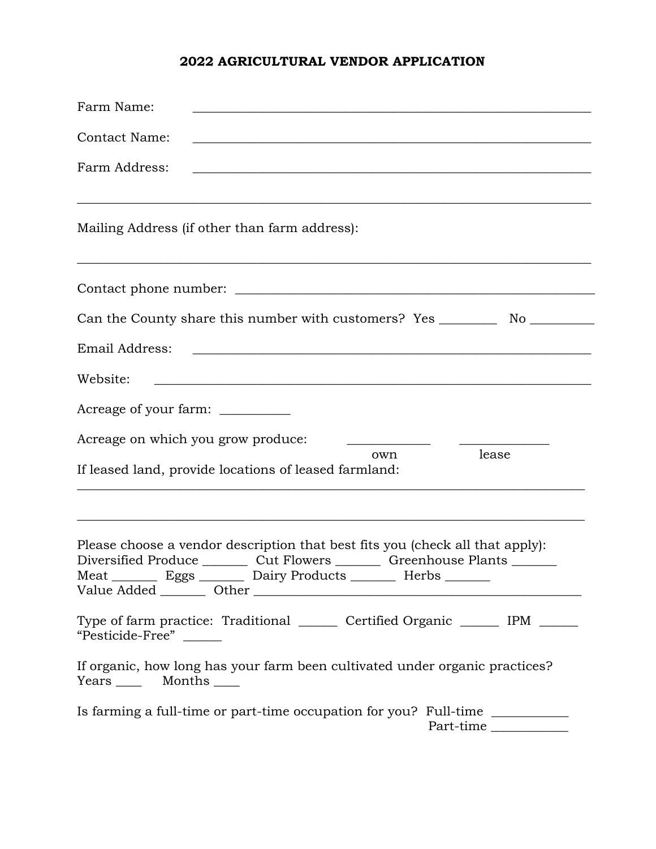# **2022 AGRICULTURAL VENDOR APPLICATION**

| Farm Name:                                                                                                                                                                                                                                                                                                                          |
|-------------------------------------------------------------------------------------------------------------------------------------------------------------------------------------------------------------------------------------------------------------------------------------------------------------------------------------|
| <b>Contact Name:</b>                                                                                                                                                                                                                                                                                                                |
| Farm Address:<br><u> 1989 - Johann Stoff, amerikansk politiker (* 1908)</u>                                                                                                                                                                                                                                                         |
| Mailing Address (if other than farm address):                                                                                                                                                                                                                                                                                       |
|                                                                                                                                                                                                                                                                                                                                     |
| Can the County share this number with customers? Yes ____________________________                                                                                                                                                                                                                                                   |
| Email Address:                                                                                                                                                                                                                                                                                                                      |
| Website:<br><u> 1989 - Johann Stoff, amerikansk politiker (d. 1989)</u>                                                                                                                                                                                                                                                             |
| Acreage of your farm: ___________                                                                                                                                                                                                                                                                                                   |
| Acreage on which you grow produce:<br>lease<br>own<br>If leased land, provide locations of leased farmland:                                                                                                                                                                                                                         |
| Please choose a vendor description that best fits you (check all that apply):<br>Diversified Produce _________ Cut Flowers _________ Greenhouse Plants ________<br>Eggs ________ Dairy Products ________ Herbs<br>Mean<br>Type of farm practice: Traditional _______ Certified Organic _______ IPM ______<br>"Pesticide-Free" _____ |
| If organic, how long has your farm been cultivated under organic practices?                                                                                                                                                                                                                                                         |
| Is farming a full-time or part-time occupation for you? Full-time _____________<br>Part-time                                                                                                                                                                                                                                        |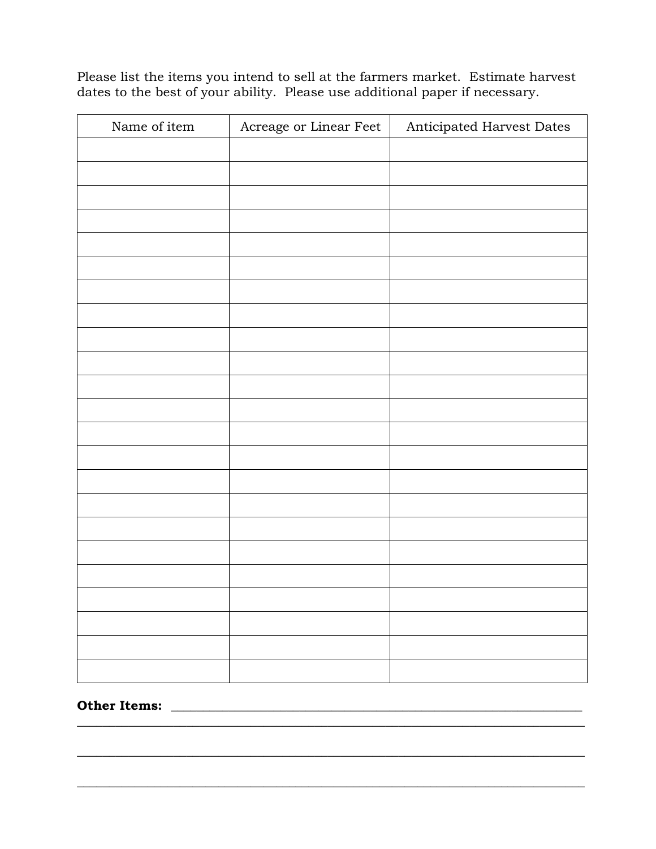Please list the items you intend to sell at the farmers market. Estimate harvest dates to the best of your ability. Please use additional paper if necessary.

| Name of item | Acreage or Linear Feet | Anticipated Harvest Dates |
|--------------|------------------------|---------------------------|
|              |                        |                           |
|              |                        |                           |
|              |                        |                           |
|              |                        |                           |
|              |                        |                           |
|              |                        |                           |
|              |                        |                           |
|              |                        |                           |
|              |                        |                           |
|              |                        |                           |
|              |                        |                           |
|              |                        |                           |
|              |                        |                           |
|              |                        |                           |
|              |                        |                           |
|              |                        |                           |
|              |                        |                           |
|              |                        |                           |
|              |                        |                           |
|              |                        |                           |
|              |                        |                           |
|              |                        |                           |
|              |                        |                           |

**\_\_\_\_\_\_\_\_\_\_\_\_\_\_\_\_\_\_\_\_\_\_\_\_\_\_\_\_\_\_\_\_\_\_\_\_\_\_\_\_\_\_\_\_\_\_\_\_\_\_\_\_\_\_\_\_\_\_\_\_\_\_\_\_\_\_\_\_\_\_\_\_\_\_\_\_\_\_\_**

**\_\_\_\_\_\_\_\_\_\_\_\_\_\_\_\_\_\_\_\_\_\_\_\_\_\_\_\_\_\_\_\_\_\_\_\_\_\_\_\_\_\_\_\_\_\_\_\_\_\_\_\_\_\_\_\_\_\_\_\_\_\_\_\_\_\_\_\_\_\_\_\_\_\_\_\_\_\_\_**

**\_\_\_\_\_\_\_\_\_\_\_\_\_\_\_\_\_\_\_\_\_\_\_\_\_\_\_\_\_\_\_\_\_\_\_\_\_\_\_\_\_\_\_\_\_\_\_\_\_\_\_\_\_\_\_\_\_\_\_\_\_\_\_\_\_\_\_\_\_\_\_\_\_\_\_\_\_\_\_**

# **Other Items: \_\_\_\_\_\_\_\_\_\_\_\_\_\_\_\_\_\_\_\_\_\_\_\_\_\_\_\_\_\_\_\_\_\_\_\_\_\_\_\_\_\_\_\_\_\_\_\_\_\_\_\_\_\_\_\_\_\_\_\_\_\_\_\_**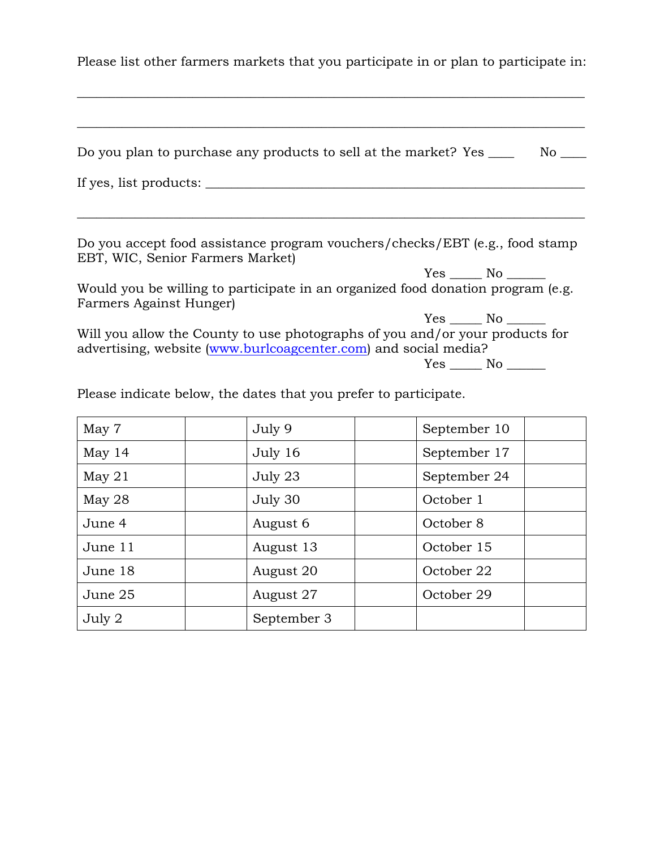Please list other farmers markets that you participate in or plan to participate in:

 $\mathcal{L}_\mathcal{L} = \{ \mathcal{L}_\mathcal{L} = \{ \mathcal{L}_\mathcal{L} = \{ \mathcal{L}_\mathcal{L} = \{ \mathcal{L}_\mathcal{L} = \{ \mathcal{L}_\mathcal{L} = \{ \mathcal{L}_\mathcal{L} = \{ \mathcal{L}_\mathcal{L} = \{ \mathcal{L}_\mathcal{L} = \{ \mathcal{L}_\mathcal{L} = \{ \mathcal{L}_\mathcal{L} = \{ \mathcal{L}_\mathcal{L} = \{ \mathcal{L}_\mathcal{L} = \{ \mathcal{L}_\mathcal{L} = \{ \mathcal{L}_\mathcal{$ 

\_\_\_\_\_\_\_\_\_\_\_\_\_\_\_\_\_\_\_\_\_\_\_\_\_\_\_\_\_\_\_\_\_\_\_\_\_\_\_\_\_\_\_\_\_\_\_\_\_\_\_\_\_\_\_\_\_\_\_\_\_\_\_\_\_\_\_\_\_\_\_\_\_\_\_\_\_\_\_

| Do you plan to purchase any products to sell at the market? Yes _____<br>No results and the New York of the New York of the New York of the New York of the New York of the New York of the New York of the New York of the New York of the New York of the New York of the New York of the New York of |
|---------------------------------------------------------------------------------------------------------------------------------------------------------------------------------------------------------------------------------------------------------------------------------------------------------|
|                                                                                                                                                                                                                                                                                                         |
|                                                                                                                                                                                                                                                                                                         |
| Do you accept food assistance program vouchers/checks/EBT (e.g., food stamp<br>EBT, WIC, Senior Farmers Market)                                                                                                                                                                                         |
| $Yes \_\_ No \_\_$                                                                                                                                                                                                                                                                                      |
| Would you be willing to participate in an organized food donation program (e.g.<br>Farmers Against Hunger)                                                                                                                                                                                              |
| $Yes \_ No \_$                                                                                                                                                                                                                                                                                          |
| Will you allow the County to use photographs of you and/or your products for<br>advertising, website (www.burlcoagcenter.com) and social media?                                                                                                                                                         |
| $Yes \_\_ No \_\_$                                                                                                                                                                                                                                                                                      |

Please indicate below, the dates that you prefer to participate.

| May 7    | July 9      | September 10 |  |
|----------|-------------|--------------|--|
| May $14$ | July 16     | September 17 |  |
| May $21$ | July 23     | September 24 |  |
| May $28$ | July 30     | October 1    |  |
| June 4   | August 6    | October 8    |  |
| June 11  | August 13   | October 15   |  |
| June 18  | August 20   | October 22   |  |
| June 25  | August 27   | October 29   |  |
| July 2   | September 3 |              |  |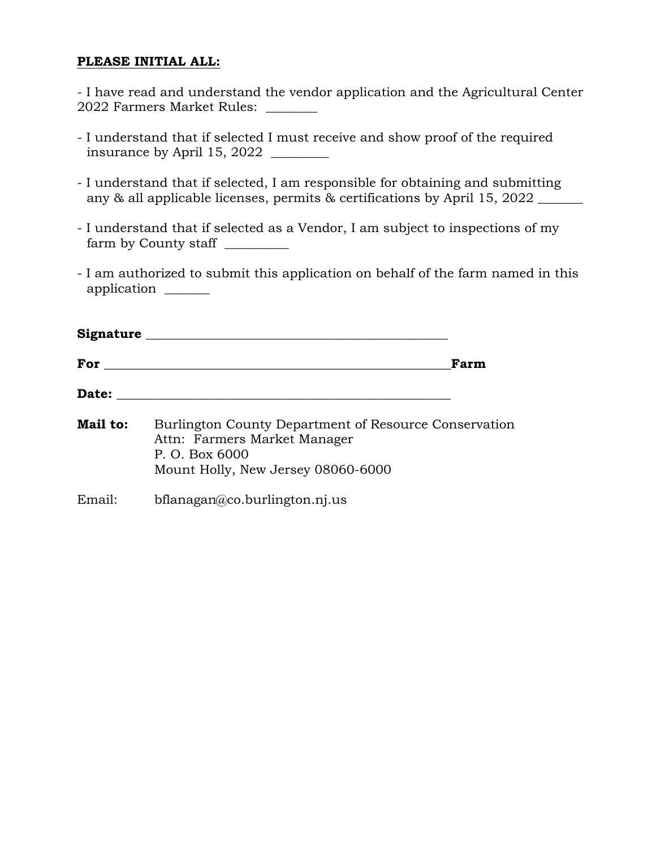# **PLEASE INITIAL ALL:**

- I have read and understand the vendor application and the Agricultural Center 2022 Farmers Market Rules: \_\_\_\_\_\_\_\_

- I understand that if selected I must receive and show proof of the required insurance by April 15, 2022
- I understand that if selected, I am responsible for obtaining and submitting any  $\&$  all applicable licenses, permits  $\&$  certifications by April 15, 2022
- I understand that if selected as a Vendor, I am subject to inspections of my farm by County staff \_\_\_\_\_\_\_\_
- I am authorized to submit this application on behalf of the farm named in this application \_\_\_\_\_\_\_

|          |                                                                                                                                               | Farm |
|----------|-----------------------------------------------------------------------------------------------------------------------------------------------|------|
| Date:    |                                                                                                                                               |      |
| Mail to: | Burlington County Department of Resource Conservation<br>Attn: Farmers Market Manager<br>P. O. Box 6000<br>Mount Holly, New Jersey 08060-6000 |      |
| Email:   | bflanagan@co.burlington.nj.us                                                                                                                 |      |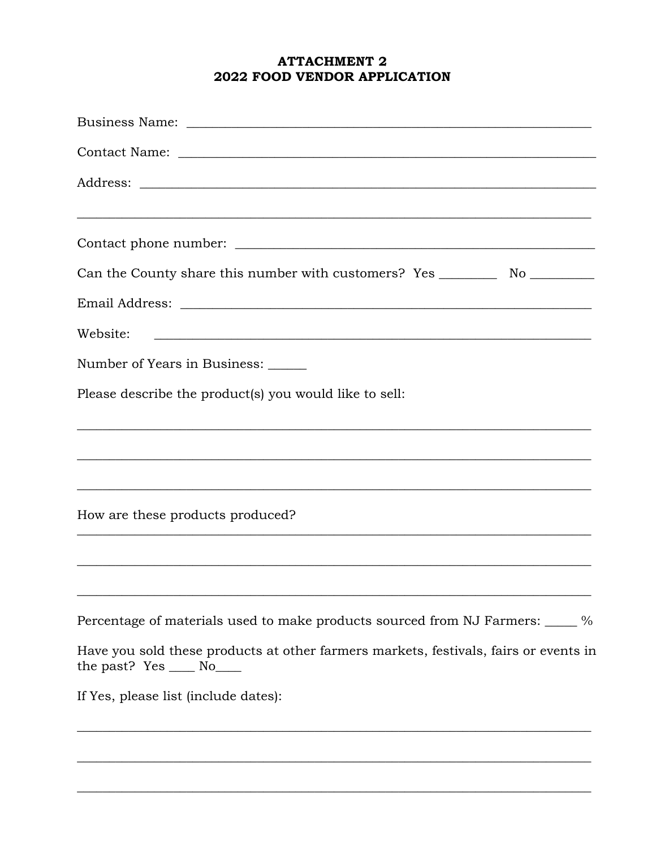# **ATTACHMENT 2** 2022 FOOD VENDOR APPLICATION

| Can the County share this number with customers? Yes ____________________________                                  |
|--------------------------------------------------------------------------------------------------------------------|
|                                                                                                                    |
| Website:<br><u> 1989 - Andrea Stadt Britain, amerikansk politik (d. 1989)</u>                                      |
| Number of Years in Business: _____                                                                                 |
| Please describe the product(s) you would like to sell:                                                             |
|                                                                                                                    |
| <u> 1989 - Jan James James Barnett, amerikan berlindar (h. 1989).</u><br>How are these products produced?          |
|                                                                                                                    |
| Percentage of materials used to make products sourced from NJ Farmers: _____ %                                     |
| Have you sold these products at other farmers markets, festivals, fairs or events in<br>the past? Yes _____ No____ |
| If Yes, please list (include dates):                                                                               |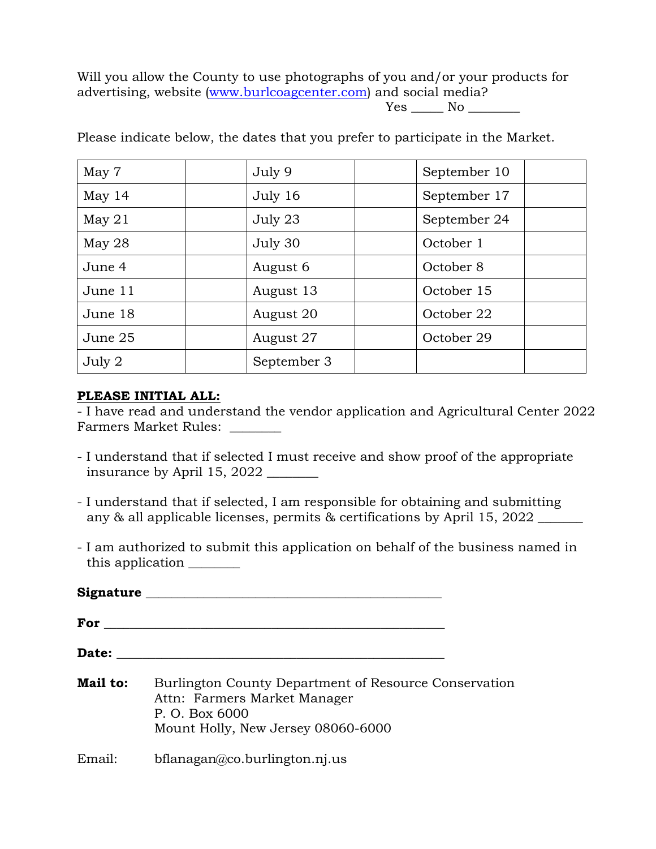Will you allow the County to use photographs of you and/or your products for advertising, website [\(www.burlcoagcenter.com\)](http://www.burlcoagcenter.com/) and social media?

Yes \_\_\_\_\_\_\_ No \_\_\_\_\_\_\_\_\_

| May 7    | July 9      | September 10 |
|----------|-------------|--------------|
| May 14   | July 16     | September 17 |
| May $21$ | July 23     | September 24 |
| May $28$ | July 30     | October 1    |
| June 4   | August 6    | October 8    |
| June 11  | August 13   | October 15   |
| June 18  | August 20   | October 22   |
| June 25  | August 27   | October 29   |
| July $2$ | September 3 |              |

Please indicate below, the dates that you prefer to participate in the Market.

# **PLEASE INITIAL ALL:**

- I have read and understand the vendor application and Agricultural Center 2022 Farmers Market Rules: \_\_\_\_\_\_\_\_

- I understand that if selected I must receive and show proof of the appropriate insurance by April 15, 2022 \_\_\_\_\_\_\_\_
- I understand that if selected, I am responsible for obtaining and submitting any  $\&$  all applicable licenses, permits  $\&$  certifications by April 15, 2022  $\_\_$
- I am authorized to submit this application on behalf of the business named in this application \_\_\_\_\_\_\_\_

| Signature |                                                                                                                                               |
|-----------|-----------------------------------------------------------------------------------------------------------------------------------------------|
|           |                                                                                                                                               |
| Date:     |                                                                                                                                               |
| Mail to:  | Burlington County Department of Resource Conservation<br>Attn: Farmers Market Manager<br>P. O. Box 6000<br>Mount Holly, New Jersey 08060-6000 |
| Email:    | bflanagan@co.burlington.nj.us                                                                                                                 |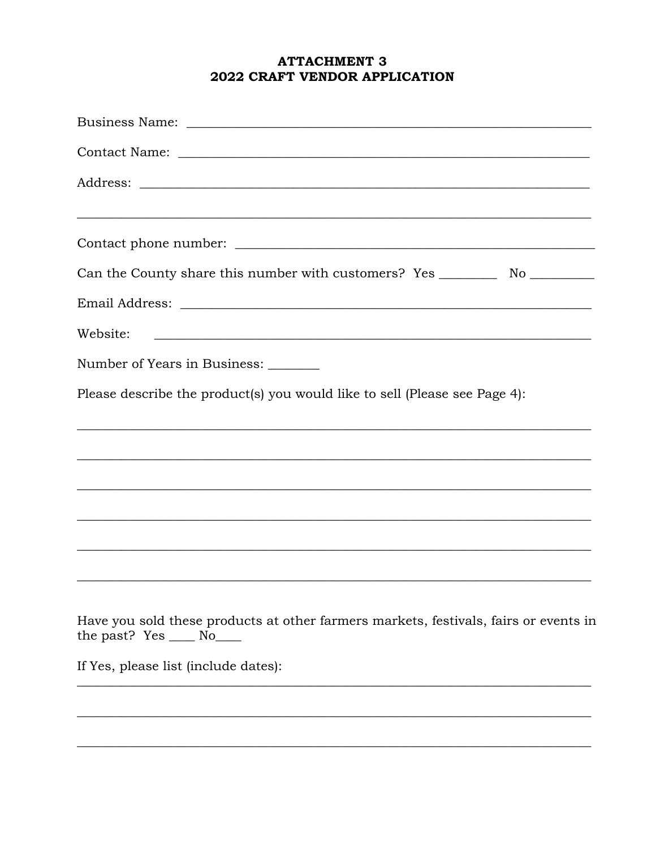# **ATTACHMENT 3** 2022 CRAFT VENDOR APPLICATION

| Can the County share this number with customers? Yes ____________________________                                                 |
|-----------------------------------------------------------------------------------------------------------------------------------|
|                                                                                                                                   |
| Website:<br><u> 1989 - Andrea Station Barbara, amerikan basar dan berasal di basa dan basa dan basa dan basa dan basa dalam b</u> |
| Number of Years in Business: _______                                                                                              |
| Please describe the product(s) you would like to sell (Please see Page 4):                                                        |
|                                                                                                                                   |
|                                                                                                                                   |
|                                                                                                                                   |
| <u> 1989 - Johann Stoff, deutscher Stoff, der Stoff, der Stoff, der Stoff, der Stoff, der Stoff, der Stoff, der S</u>             |
|                                                                                                                                   |
|                                                                                                                                   |
| Have you sold these products at other farmers markets, festivals, fairs or events in<br>the past? Yes ____ No____                 |

If Yes, please list (include dates):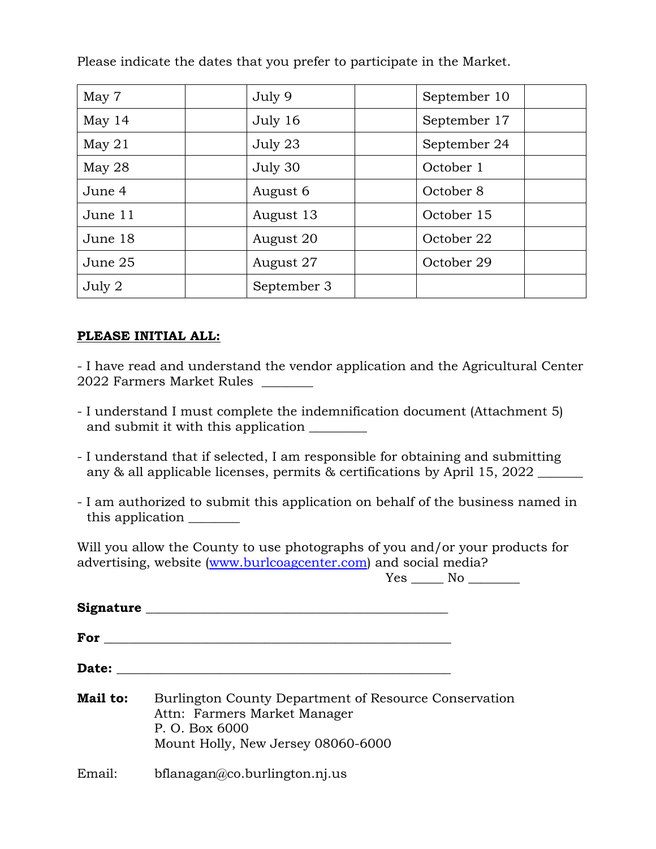| May 7    | July 9      | September 10 |
|----------|-------------|--------------|
| May $14$ | July 16     | September 17 |
| May $21$ | July 23     | September 24 |
| May 28   | July 30     | October 1    |
| June 4   | August 6    | October 8    |
| June 11  | August 13   | October 15   |
| June 18  | August 20   | October 22   |
| June 25  | August 27   | October 29   |
| July 2   | September 3 |              |

Please indicate the dates that you prefer to participate in the Market.

# **PLEASE INITIAL ALL:**

- I have read and understand the vendor application and the Agricultural Center 2022 Farmers Market Rules \_\_\_\_\_\_\_\_

- I understand I must complete the indemnification document (Attachment 5) and submit it with this application \_\_\_\_\_\_\_\_\_
- I understand that if selected, I am responsible for obtaining and submitting any & all applicable licenses, permits & certifications by April 15, 2022
- I am authorized to submit this application on behalf of the business named in this application \_\_\_\_\_\_\_\_

Will you allow the County to use photographs of you and/or your products for advertising, website [\(www.burlcoagcenter.com\)](http://www.burlcoagcenter.com/) and social media?

| т.<br>ົ<br>–<br>$-$<br>$-$ | -<br>$-$ |  |
|----------------------------|----------|--|
|                            |          |  |

| Signature    |                                                                                                                                               |
|--------------|-----------------------------------------------------------------------------------------------------------------------------------------------|
| For          |                                                                                                                                               |
| <b>Date:</b> |                                                                                                                                               |
| Mail to:     | Burlington County Department of Resource Conservation<br>Attn: Farmers Market Manager<br>P. O. Box 6000<br>Mount Holly, New Jersey 08060-6000 |
| Email:       | bflanagan@co.burlington.nj.us                                                                                                                 |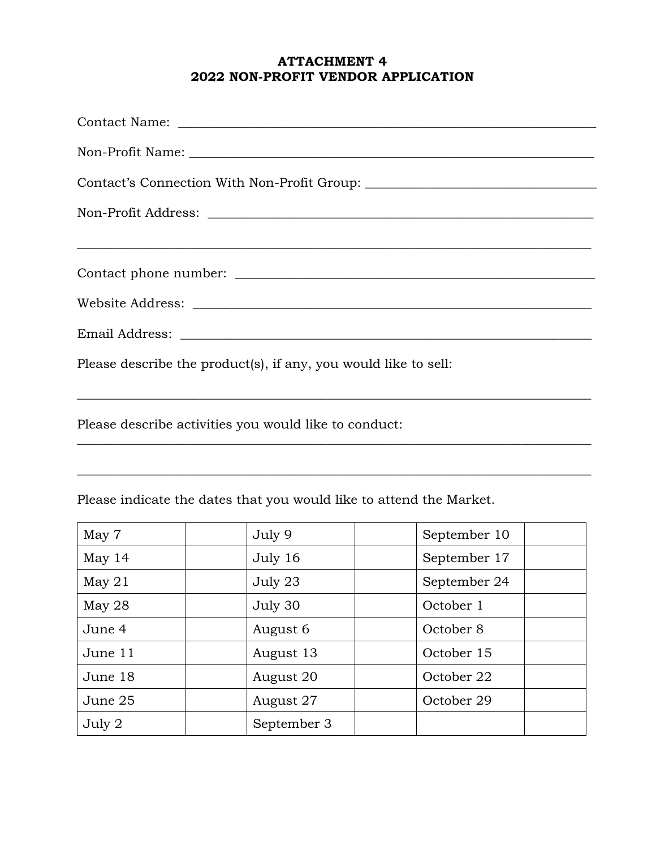# **ATTACHMENT 4 2022 NON-PROFIT VENDOR APPLICATION**

| Please describe the product(s), if any, you would like to sell:                                                                                                                                                                                            |  |  |  |  |
|------------------------------------------------------------------------------------------------------------------------------------------------------------------------------------------------------------------------------------------------------------|--|--|--|--|
| <u> 1989 - Johann Stoff, amerikan bestein de stad in de stad in de stad in de stad in de stad in de stad in de st</u><br>Please describe activities you would like to conduct:<br><u> 1989 - Jan Samuel Barbara, margaret ar brenin bernama (h. 1988).</u> |  |  |  |  |

Please indicate the dates that you would like to attend the Market.

| May 7    | July 9      | September 10 |
|----------|-------------|--------------|
| May $14$ | July 16     | September 17 |
| May $21$ | July 23     | September 24 |
| May $28$ | July 30     | October 1    |
| June 4   | August 6    | October 8    |
| June 11  | August 13   | October 15   |
| June 18  | August 20   | October 22   |
| June 25  | August 27   | October 29   |
| July $2$ | September 3 |              |

 $\_$  , and the set of the set of the set of the set of the set of the set of the set of the set of the set of the set of the set of the set of the set of the set of the set of the set of the set of the set of the set of th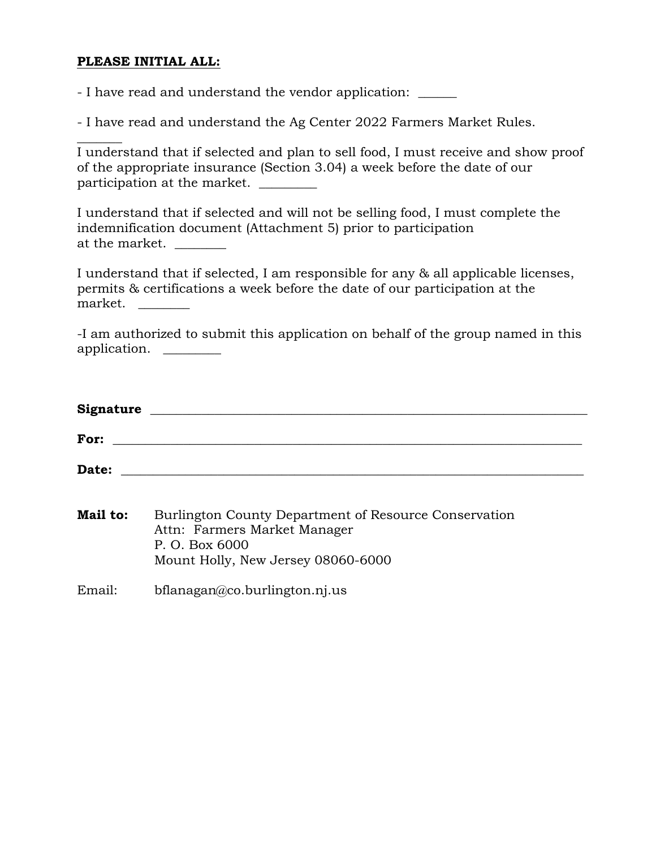# **PLEASE INITIAL ALL:**

 $\overline{\phantom{a}}$ 

- I have read and understand the vendor application: \_\_\_\_\_\_

- I have read and understand the Ag Center 2022 Farmers Market Rules.

I understand that if selected and plan to sell food, I must receive and show proof of the appropriate insurance (Section 3.04) a week before the date of our participation at the market.

I understand that if selected and will not be selling food, I must complete the indemnification document (Attachment 5) prior to participation at the market.  $\_\_$ 

I understand that if selected, I am responsible for any & all applicable licenses, permits & certifications a week before the date of our participation at the market.

-I am authorized to submit this application on behalf of the group named in this application.

| <b>Signature</b> | <u> 1980 - Jan Salaman, manazarta da shekara 1980 - André Salaman a Salaman a Salaman a Salaman a Salaman a Sala</u> |  |  |
|------------------|----------------------------------------------------------------------------------------------------------------------|--|--|
| For:             |                                                                                                                      |  |  |
| Date:            |                                                                                                                      |  |  |

| Mail to: | Burlington County Department of Resource Conservation |
|----------|-------------------------------------------------------|
|          | Attn: Farmers Market Manager                          |
|          | P. O. Box 6000                                        |
|          | Mount Holly, New Jersey 08060-6000                    |
|          |                                                       |

Email: bflanagan@co.burlington.nj.us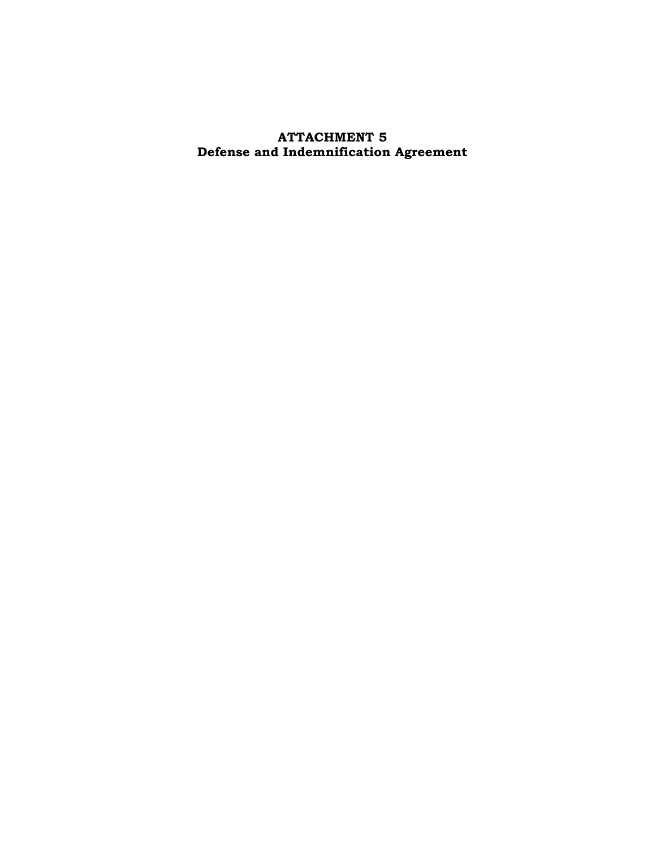# **ATTACHMENT 5 Defense and Indemnification Agreement**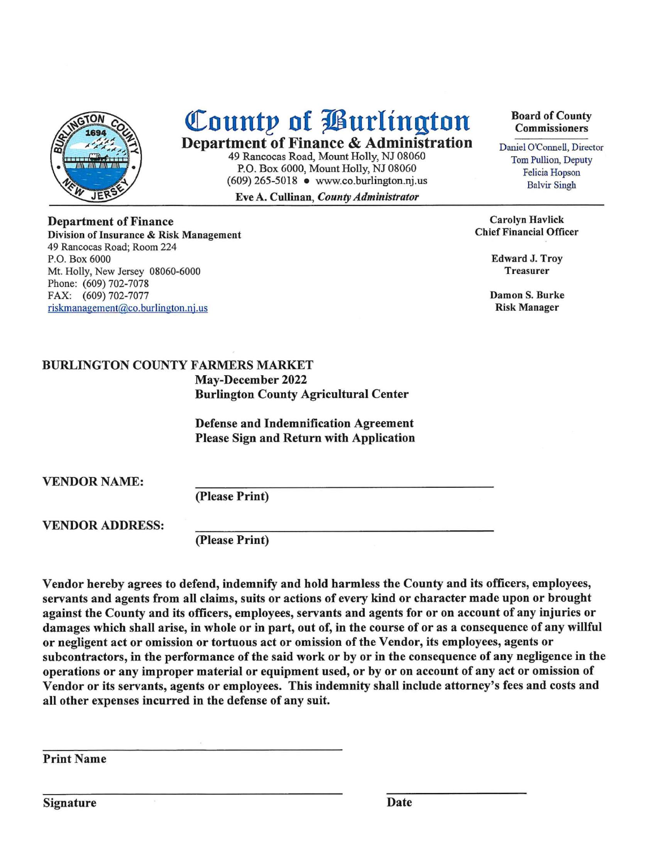

# County of Burlington

Department of Finance & Administration

49 Rancocas Road, Mount Holly, NJ 08060 P.O. Box 6000, Mount Holly, NJ 08060  $(609)$  265-5018 • www.co.burlington.nj.us

Eve A. Cullinan, County Administrator

#### **Board of County Commissioners**

Daniel O'Connell, Director Tom Pullion, Deputy Felicia Hopson **Balvir Singh** 

**Carolyn Havlick Chief Financial Officer** 

> **Edward J. Troy Treasurer**

Damon S. Burke **Risk Manager** 

**Department of Finance** Division of Insurance & Risk Management 49 Rancocas Road; Room 224 P.O. Box 6000 Mt. Holly, New Jersey 08060-6000 Phone: (609) 702-7078 FAX: (609) 702-7077 riskmanagement@co.burlington.nj.us

#### **BURLINGTON COUNTY FARMERS MARKET May-December 2022 Burlington County Agricultural Center**

**Defense and Indemnification Agreement Please Sign and Return with Application** 

**VENDOR NAME:** 

(Please Print)

**VENDOR ADDRESS:** 

(Please Print)

Vendor hereby agrees to defend, indemnify and hold harmless the County and its officers, employees, servants and agents from all claims, suits or actions of every kind or character made upon or brought against the County and its officers, employees, servants and agents for or on account of any injuries or damages which shall arise, in whole or in part, out of, in the course of or as a consequence of any willful or negligent act or omission or tortuous act or omission of the Vendor, its employees, agents or subcontractors, in the performance of the said work or by or in the consequence of any negligence in the operations or any improper material or equipment used, or by or on account of any act or omission of Vendor or its servants, agents or employees. This indemnity shall include attorney's fees and costs and all other expenses incurred in the defense of any suit.

**Print Name** 

**Signature**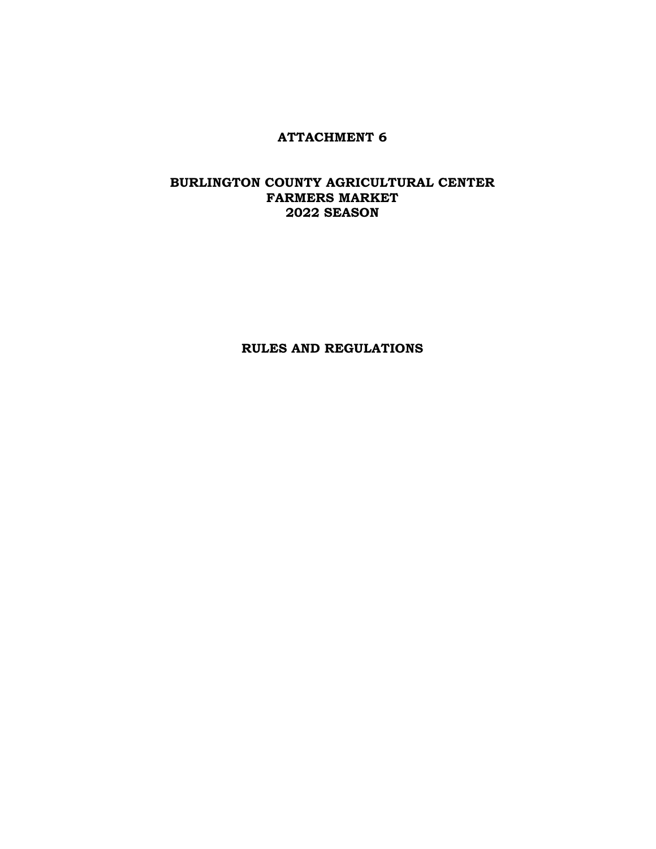# **ATTACHMENT 6**

# **BURLINGTON COUNTY AGRICULTURAL CENTER FARMERS MARKET 2022 SEASON**

**RULES AND REGULATIONS**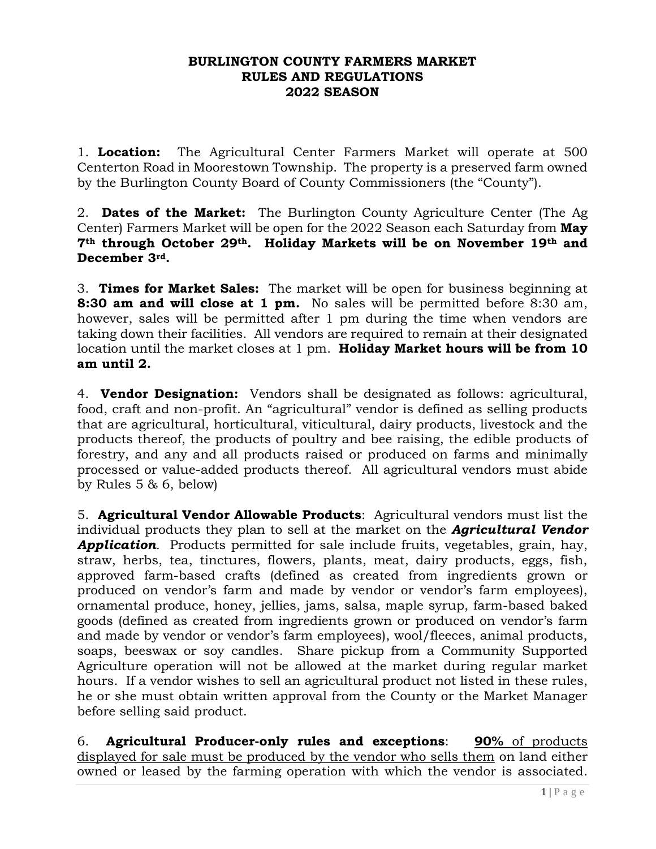#### **BURLINGTON COUNTY FARMERS MARKET RULES AND REGULATIONS 2022 SEASON**

1. **Location:** The Agricultural Center Farmers Market will operate at 500 Centerton Road in Moorestown Township. The property is a preserved farm owned by the Burlington County Board of County Commissioners (the "County").

2. **Dates of the Market:** The Burlington County Agriculture Center (The Ag Center) Farmers Market will be open for the 2022 Season each Saturday from **May 7th through October 29th. Holiday Markets will be on November 19th and December 3rd.**

3. **Times for Market Sales:** The market will be open for business beginning at **8:30 am and will close at 1 pm.** No sales will be permitted before 8:30 am, however, sales will be permitted after 1 pm during the time when vendors are taking down their facilities. All vendors are required to remain at their designated location until the market closes at 1 pm. **Holiday Market hours will be from 10 am until 2.**

4. **Vendor Designation:** Vendors shall be designated as follows: agricultural, food, craft and non-profit. An "agricultural" vendor is defined as selling products that are agricultural, horticultural, viticultural, dairy products, livestock and the products thereof, the products of poultry and bee raising, the edible products of forestry, and any and all products raised or produced on farms and minimally processed or value-added products thereof. All agricultural vendors must abide by Rules 5 & 6, below)

5. **Agricultural Vendor Allowable Products**: Agricultural vendors must list the individual products they plan to sell at the market on the *Agricultural Vendor Application.* Products permitted for sale include fruits, vegetables, grain, hay, straw, herbs, tea, tinctures, flowers, plants, meat, dairy products, eggs, fish, approved farm-based crafts (defined as created from ingredients grown or produced on vendor's farm and made by vendor or vendor's farm employees), ornamental produce, honey, jellies, jams, salsa, maple syrup, farm-based baked goods (defined as created from ingredients grown or produced on vendor's farm and made by vendor or vendor's farm employees), wool/fleeces, animal products, soaps, beeswax or soy candles. Share pickup from a Community Supported Agriculture operation will not be allowed at the market during regular market hours. If a vendor wishes to sell an agricultural product not listed in these rules, he or she must obtain written approval from the County or the Market Manager before selling said product.

6. **Agricultural Producer-only rules and exceptions**: **90%** of products displayed for sale must be produced by the vendor who sells them on land either owned or leased by the farming operation with which the vendor is associated.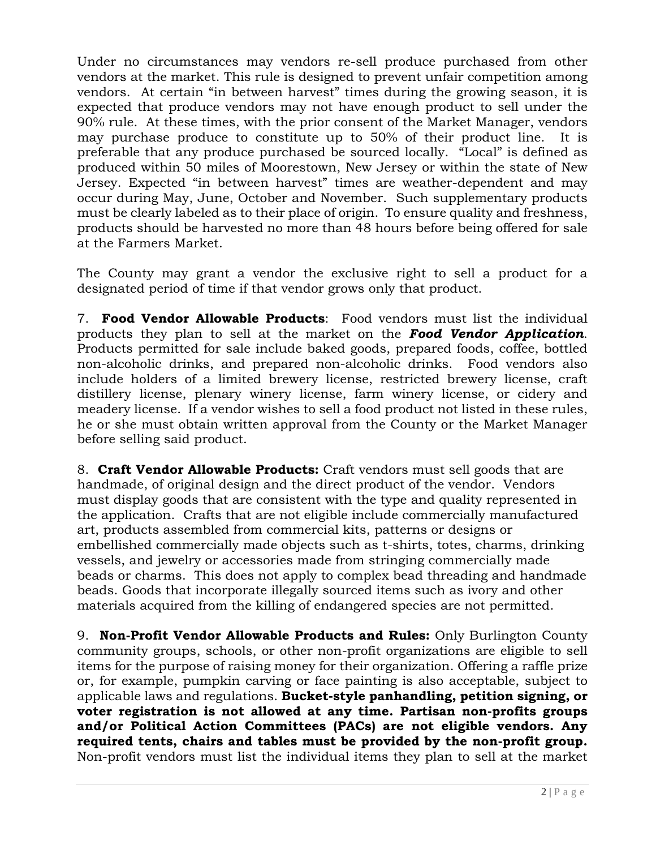Under no circumstances may vendors re-sell produce purchased from other vendors at the market. This rule is designed to prevent unfair competition among vendors. At certain "in between harvest" times during the growing season, it is expected that produce vendors may not have enough product to sell under the 90% rule. At these times, with the prior consent of the Market Manager, vendors may purchase produce to constitute up to 50% of their product line. It is preferable that any produce purchased be sourced locally. "Local" is defined as produced within 50 miles of Moorestown, New Jersey or within the state of New Jersey. Expected "in between harvest" times are weather-dependent and may occur during May, June, October and November. Such supplementary products must be clearly labeled as to their place of origin. To ensure quality and freshness, products should be harvested no more than 48 hours before being offered for sale at the Farmers Market.

The County may grant a vendor the exclusive right to sell a product for a designated period of time if that vendor grows only that product.

7. **Food Vendor Allowable Products**: Food vendors must list the individual products they plan to sell at the market on the *Food Vendor Application*. Products permitted for sale include baked goods, prepared foods, coffee, bottled non-alcoholic drinks, and prepared non-alcoholic drinks. Food vendors also include holders of a limited brewery license, restricted brewery license, craft distillery license, plenary winery license, farm winery license, or cidery and meadery license. If a vendor wishes to sell a food product not listed in these rules, he or she must obtain written approval from the County or the Market Manager before selling said product.

8. **Craft Vendor Allowable Products:** Craft vendors must sell goods that are handmade, of original design and the direct product of the vendor. Vendors must display goods that are consistent with the type and quality represented in the application. Crafts that are not eligible include commercially manufactured art, products assembled from commercial kits, patterns or designs or embellished commercially made objects such as t-shirts, totes, charms, drinking vessels, and jewelry or accessories made from stringing commercially made beads or charms. This does not apply to complex bead threading and handmade beads. Goods that incorporate illegally sourced items such as ivory and other materials acquired from the killing of endangered species are not permitted.

9. **Non-Profit Vendor Allowable Products and Rules:** Only Burlington County community groups, schools, or other non-profit organizations are eligible to sell items for the purpose of raising money for their organization. Offering a raffle prize or, for example, pumpkin carving or face painting is also acceptable, subject to applicable laws and regulations. **Bucket-style panhandling, petition signing, or voter registration is not allowed at any time. Partisan non-profits groups and/or Political Action Committees (PACs) are not eligible vendors. Any required tents, chairs and tables must be provided by the non-profit group.**  Non-profit vendors must list the individual items they plan to sell at the market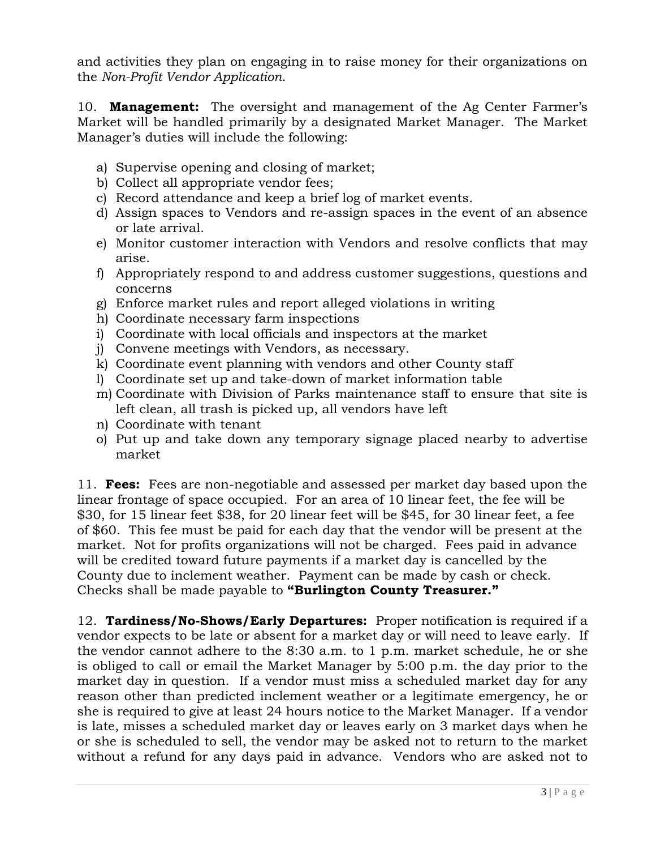and activities they plan on engaging in to raise money for their organizations on the *Non-Profit Vendor Application*.

10. **Management:** The oversight and management of the Ag Center Farmer's Market will be handled primarily by a designated Market Manager. The Market Manager's duties will include the following:

- a) Supervise opening and closing of market;
- b) Collect all appropriate vendor fees;
- c) Record attendance and keep a brief log of market events.
- d) Assign spaces to Vendors and re-assign spaces in the event of an absence or late arrival.
- e) Monitor customer interaction with Vendors and resolve conflicts that may arise.
- f) Appropriately respond to and address customer suggestions, questions and concerns
- g) Enforce market rules and report alleged violations in writing
- h) Coordinate necessary farm inspections
- i) Coordinate with local officials and inspectors at the market
- j) Convene meetings with Vendors, as necessary.
- k) Coordinate event planning with vendors and other County staff
- l) Coordinate set up and take-down of market information table
- m) Coordinate with Division of Parks maintenance staff to ensure that site is left clean, all trash is picked up, all vendors have left
- n) Coordinate with tenant
- o) Put up and take down any temporary signage placed nearby to advertise market

11. **Fees:** Fees are non-negotiable and assessed per market day based upon the linear frontage of space occupied. For an area of 10 linear feet, the fee will be \$30, for 15 linear feet \$38, for 20 linear feet will be \$45, for 30 linear feet, a fee of \$60. This fee must be paid for each day that the vendor will be present at the market. Not for profits organizations will not be charged. Fees paid in advance will be credited toward future payments if a market day is cancelled by the County due to inclement weather. Payment can be made by cash or check. Checks shall be made payable to **"Burlington County Treasurer."**

12. **Tardiness/No-Shows/Early Departures:** Proper notification is required if a vendor expects to be late or absent for a market day or will need to leave early. If the vendor cannot adhere to the 8:30 a.m. to 1 p.m. market schedule, he or she is obliged to call or email the Market Manager by 5:00 p.m. the day prior to the market day in question. If a vendor must miss a scheduled market day for any reason other than predicted inclement weather or a legitimate emergency, he or she is required to give at least 24 hours notice to the Market Manager. If a vendor is late, misses a scheduled market day or leaves early on 3 market days when he or she is scheduled to sell, the vendor may be asked not to return to the market without a refund for any days paid in advance. Vendors who are asked not to